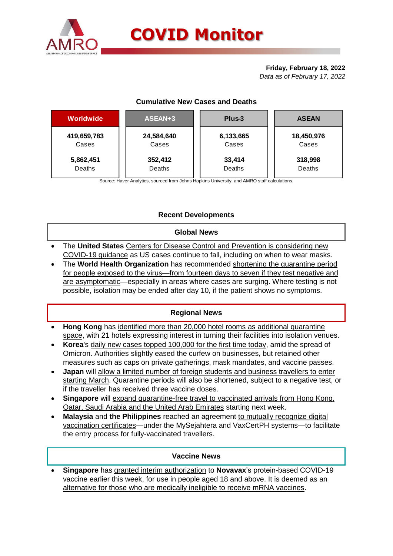

# **Friday, February 18, 2022**

*Data as of February 17, 2022*

## **Cumulative New Cases and Deaths**

| Worldwide   | ASEAN+3    | Plus-3    | <b>ASEAN</b> |  |  |
|-------------|------------|-----------|--------------|--|--|
| 419,659,783 | 24,584,640 | 6,133,665 | 18,450,976   |  |  |
| Cases       | Cases      | Cases     | Cases        |  |  |
| 5,862,451   | 352,412    | 33,414    | 318,998      |  |  |
| Deaths      | Deaths     | Deaths    | Deaths       |  |  |

Source: Haver Analytics, sourced from Johns Hopkins University; and AMRO staff calculations.

## **Recent Developments**

### **Global News**

- The **United States** Centers for Disease Control and Prevention is considering new COVID-19 guidance as US cases continue to fall, including on when to wear masks.
- The **World Health Organization** has recommended shortening the quarantine period for people exposed to the virus—from fourteen days to seven if they test negative and are asymptomatic—especially in areas where cases are surging. Where testing is not possible, isolation may be ended after day 10, if the patient shows no symptoms.

## **Regional News**

- **Hong Kong** has identified more than 20,000 hotel rooms as additional quarantine space, with 21 hotels expressing interest in turning their facilities into isolation venues.
- **Korea**'s daily new cases topped 100,000 for the first time today, amid the spread of Omicron. Authorities slightly eased the curfew on businesses, but retained other measures such as caps on private gatherings, mask mandates, and vaccine passes.
- **Japan** will allow a limited number of foreign students and business travellers to enter starting March. Quarantine periods will also be shortened, subject to a negative test, or if the traveller has received three vaccine doses.
- **Singapore** will expand quarantine-free travel to vaccinated arrivals from Hong Kong, Qatar, Saudi Arabia and the United Arab Emirates starting next week.
- **Malaysia** and **the Philippines** reached an agreement to mutually recognize digital vaccination certificates—under the MySejahtera and VaxCertPH systems—to facilitate the entry process for fully-vaccinated travellers.

### **Vaccine News**

 **Singapore** has granted interim authorization to **Novavax**'s protein-based COVID-19 vaccine earlier this week, for use in people aged 18 and above. It is deemed as an alternative for those who are medically ineligible to receive mRNA vaccines.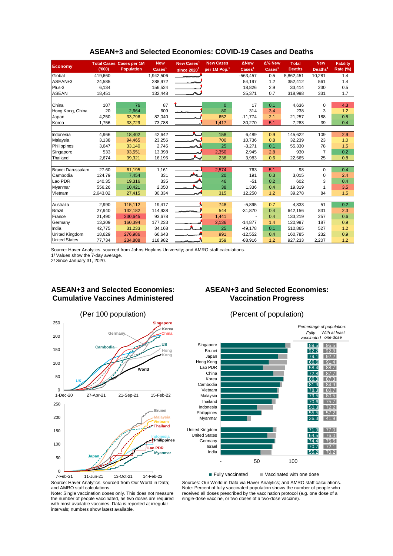|                       |          | <b>Total Cases Cases per 1M</b> | <b>New</b>                  | New Cases <sup>1</sup>   | <b>New Cases</b>         | <b>ANew</b>              | $\Delta$ % New           | <b>Total</b>  | <b>New</b>          | <b>Fatality</b> |
|-----------------------|----------|---------------------------------|-----------------------------|--------------------------|--------------------------|--------------------------|--------------------------|---------------|---------------------|-----------------|
| <b>Economy</b>        | (000)    | <b>Population</b>               | $\overline{\text{Cases}}^1$ | since $2020^2$           | per 1M Pop. <sup>1</sup> | $\text{Case} \text{s}^1$ | $\text{Case} \text{s}^1$ | <b>Deaths</b> | Deaths <sup>1</sup> | <b>Rate (%)</b> |
| Global                | 419,660  |                                 | 1,942,506                   | $\overline{\phantom{a}}$ |                          | $-563,457$               | 0.5                      | 5,862,451     | 10,281              | 1.4             |
| ASEAN+3               | 24,585   |                                 | 288,972                     |                          |                          | 54,197                   | 1.2                      | 352,412       | 561                 | 1.4             |
| Plus-3                | 6,134    |                                 | 156,524                     |                          |                          | 18,826                   | 2.9                      | 33,414        | 230                 | 0.5             |
| ASEAN                 | 18,451   |                                 | 132,448                     |                          |                          | 35,371                   | 0.7                      | 318,998       | 331                 | 1.7             |
|                       |          |                                 |                             |                          |                          |                          |                          |               |                     |                 |
| <b>China</b>          | 107      | 76                              | 87                          |                          | $\Omega$                 | 17                       | 0.1                      | 4,636         | $\Omega$            | 4.3             |
| Hong Kong, China      | 20       | 2,664                           | 609                         |                          | 80                       | 314                      | 3.4                      | 238           | 3                   | 1.2             |
| Japan                 | 4.250    | 33,796                          | 82,040                      |                          | 652                      | $-11,774$                | 2.1                      | 21,257        | 188                 | 0.5             |
| Korea                 | 1,756    | 33,729                          | 73,788                      |                          | 1,417                    | 30,270                   | 5.1                      | 7,283         | 39                  | 0.4             |
|                       |          |                                 |                             |                          |                          |                          |                          |               |                     |                 |
| Indonesia             | 4,966    | 18,402                          | 42,642                      | $\mathbf{A}$             | 158                      | 6,489                    | 0.9                      | 145,622       | 109                 | 2.9             |
| Malaysia              | 3,138    | 94,465                          | 23,256                      |                          | 700                      | 10,736                   | 0.8                      | 32,239        | 23                  | 1.0             |
| Philippines           | 3,647    | 33,140                          | 2,745                       |                          | 25                       | $-3,271$                 | 0.1                      | 55,330        | 78                  | 1.5             |
| Singapore             | 533      | 93,551                          | 13,398                      |                          | 2,350                    | 2,945                    | 2.8                      | 930           | $\overline{7}$      | 0.2             |
| Thailand              | 2,674    | 39,321                          | 16,195                      |                          | 238                      | 3,983                    | 0.6                      | 22,565        | 25                  | 0.8             |
|                       |          |                                 |                             |                          |                          |                          |                          |               |                     |                 |
| Brunei Darussalam     | 27.60    | 61,195                          | 1,161                       |                          | 2,574                    | 763                      | 5.1                      | 98            | $\Omega$            | 0.4             |
| Cambodia              | 124.79   | 7,454                           | 331                         |                          | 20                       | 191                      | 0.3                      | 3,015         | $\mathbf 0$         | 2.4             |
| Lao PDR               | 140.35   | 19,316                          | 335                         |                          | 46                       | $-51$                    | 0.2                      | 602           | 3                   | 0.4             |
| Myanmar               | 556.26   | 10.421                          | 2,050                       |                          | 38                       | 1,336                    | 0.4                      | 19,319        |                     | 3.5             |
| Vietnam               | 2,643.02 | 27,415                          | 30,334                      |                          | 315                      | 12,250                   | 1.2                      | 39,278        | 84                  | 1.5             |
|                       |          |                                 |                             |                          |                          |                          |                          |               |                     |                 |
| Australia             | 2,990    | 115,112                         | 19,417                      |                          | 748                      | $-5,895$                 | 0.7                      | 4,833         | 51                  | 0.2             |
| Brazil                | 27,940   | 132.182                         | 114,938                     |                          | 544                      | $-31,870$                | 0.4                      | 642,156       | 831                 | 2.3             |
| France                | 21,490   | 330,645                         | 93,678                      |                          | 1,441                    |                          | 0.4                      | 133,219       | 257                 | 0.6             |
| Germany               | 13,309   | 160,394                         | 177,233                     |                          | 2,136                    | $-14,877$                | 1.4                      | 120,997       | 187                 | 0.9             |
| India                 | 42,775   | 31,233                          | 34,168                      |                          | 25                       | $-49,178$                | 0.1                      | 510,865       | 527                 | 1.2             |
| <b>United Kingdom</b> | 18,629   | 276,986                         | 66,643                      |                          | 991                      | $-12,552$                | 0.4                      | 160,785       | 232                 | 0.9             |
| <b>United States</b>  | 77,734   | 234,808                         | 118,982                     |                          | 359                      | $-88,916$                | 1.2                      | 927,233       | 2,207               | 1.2             |

#### **ASEAN+3 and Selected Economies: COVID-19 Cases and Deaths**

Source: Haver Analytics, sourced from Johns Hopkins University; and AMRO staff calculations.

1/ Values show the 7-day average.

2/ Since January 31, 2020.

### **ASEAN+3 and Selected Economies: Cumulative Vaccines Administered**



## **ASEAN+3 and Selected Economies: Vaccination Progress**



Source: Haver Analytics, sourced from Our World in Data; and AMRO staff calculations. 7-Feb-21 11-Jun-21 13-Oct-21 14-Feb-22

Note: Single vaccination doses only. This does not measure the number of people vaccinated, as two doses are required with most available vaccines. Data is reported at irregular intervals; numbers show latest available.

Sources: Our World in Data via Haver Analytics; and AMRO staff calculations. Note: Percent of fully vaccinated population shows the number of people who received all doses prescribed by the vaccination protocol (e.g. one dose of a single-dose vaccine, or two doses of a two-dose vaccine).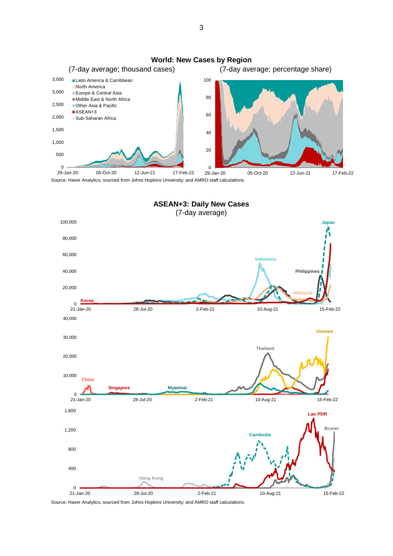

Source: Haver Analytics, sourced from Johns Hopkins University; and AMRO staff calculations.



3